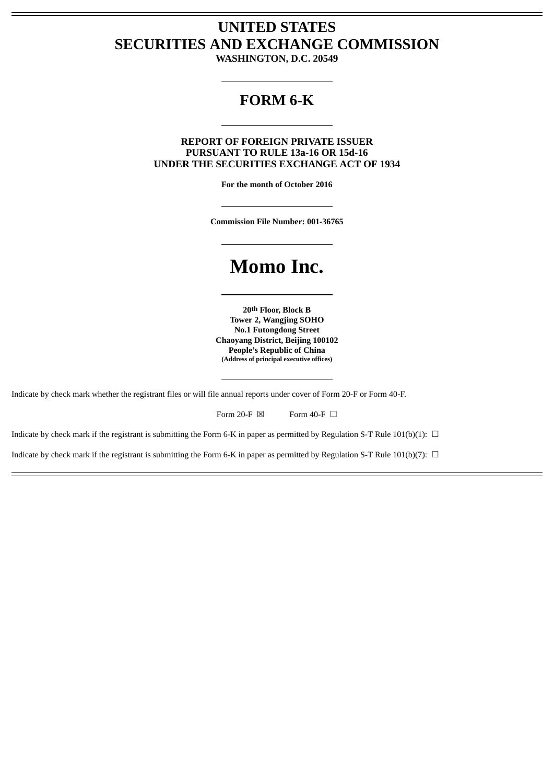## **UNITED STATES SECURITIES AND EXCHANGE COMMISSION**

**WASHINGTON, D.C. 20549**

### **FORM 6-K**

### **REPORT OF FOREIGN PRIVATE ISSUER PURSUANT TO RULE 13a-16 OR 15d-16 UNDER THE SECURITIES EXCHANGE ACT OF 1934**

**For the month of October 2016**

**Commission File Number: 001-36765**

# **Momo Inc.**

**20th Floor, Block B Tower 2, Wangjing SOHO No.1 Futongdong Street Chaoyang District, Beijing 100102 People's Republic of China (Address of principal executive offices)**

Indicate by check mark whether the registrant files or will file annual reports under cover of Form 20-F or Form 40-F.

Form 20-F  $\boxtimes$  Form 40-F  $\Box$ 

Indicate by check mark if the registrant is submitting the Form 6-K in paper as permitted by Regulation S-T Rule 101(b)(1):  $\Box$ 

Indicate by check mark if the registrant is submitting the Form 6-K in paper as permitted by Regulation S-T Rule 101(b)(7):  $\Box$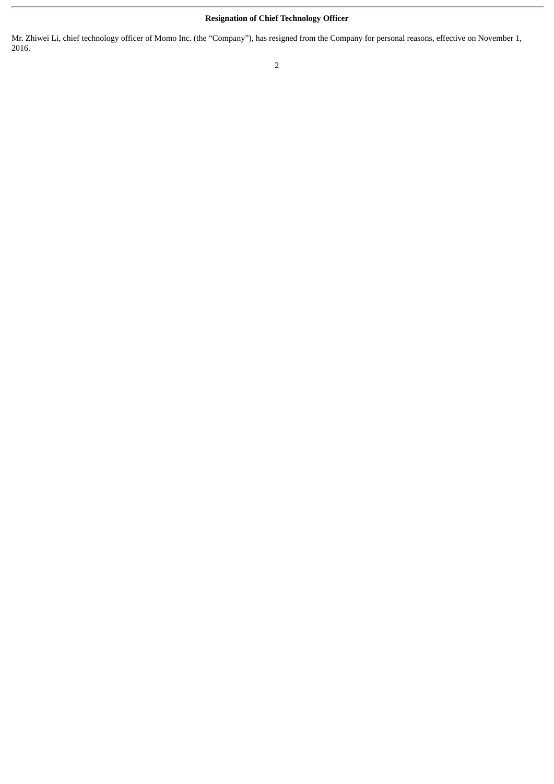### **Resignation of Chief Technology Officer**

Mr. Zhiwei Li, chief technology officer of Momo Inc. (the "Company"), has resigned from the Company for personal reasons, effective on November 1, 2016.